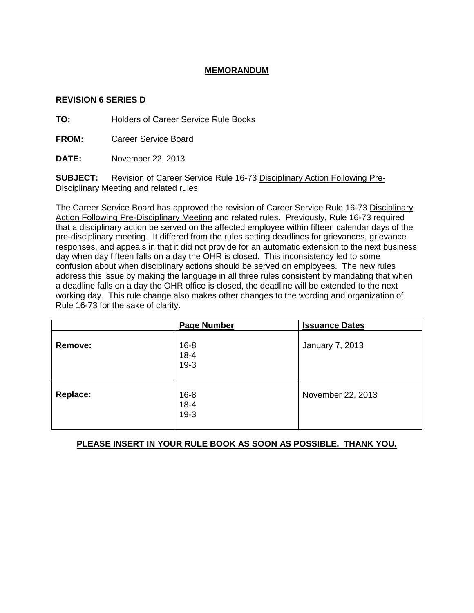## **MEMORANDUM**

#### **REVISION 6 SERIES D**

**TO:** Holders of Career Service Rule Books

**FROM:** Career Service Board

**DATE:** November 22, 2013

**SUBJECT:** Revision of Career Service Rule 16-73 Disciplinary Action Following Pre-Disciplinary Meeting and related rules

The Career Service Board has approved the revision of Career Service Rule 16-73 Disciplinary Action Following Pre-Disciplinary Meeting and related rules. Previously, Rule 16-73 required that a disciplinary action be served on the affected employee within fifteen calendar days of the pre-disciplinary meeting. It differed from the rules setting deadlines for grievances, grievance responses, and appeals in that it did not provide for an automatic extension to the next business day when day fifteen falls on a day the OHR is closed. This inconsistency led to some confusion about when disciplinary actions should be served on employees. The new rules address this issue by making the language in all three rules consistent by mandating that when a deadline falls on a day the OHR office is closed, the deadline will be extended to the next working day. This rule change also makes other changes to the wording and organization of Rule 16-73 for the sake of clarity.

|                 | <b>Page Number</b>             | <b>Issuance Dates</b> |
|-----------------|--------------------------------|-----------------------|
| Remove:         | $16 - 8$<br>$18 - 4$<br>$19-3$ | January 7, 2013       |
| <b>Replace:</b> | $16 - 8$<br>$18 - 4$<br>$19-3$ | November 22, 2013     |

### **PLEASE INSERT IN YOUR RULE BOOK AS SOON AS POSSIBLE. THANK YOU.**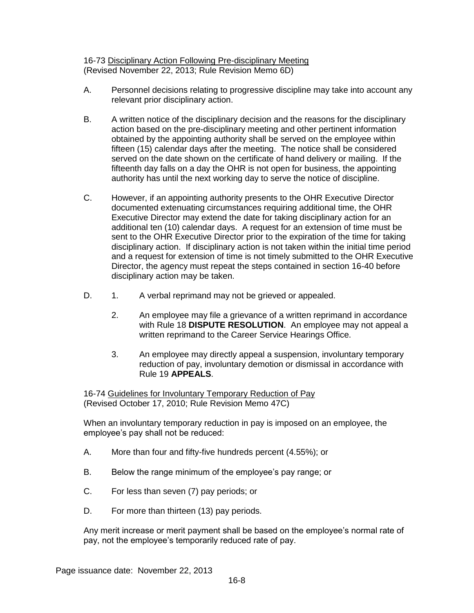16-73 Disciplinary Action Following Pre-disciplinary Meeting (Revised November 22, 2013; Rule Revision Memo 6D)

- A. Personnel decisions relating to progressive discipline may take into account any relevant prior disciplinary action.
- B. A written notice of the disciplinary decision and the reasons for the disciplinary action based on the pre-disciplinary meeting and other pertinent information obtained by the appointing authority shall be served on the employee within fifteen (15) calendar days after the meeting. The notice shall be considered served on the date shown on the certificate of hand delivery or mailing. If the fifteenth day falls on a day the OHR is not open for business, the appointing authority has until the next working day to serve the notice of discipline.
- C. However, if an appointing authority presents to the OHR Executive Director documented extenuating circumstances requiring additional time, the OHR Executive Director may extend the date for taking disciplinary action for an additional ten (10) calendar days. A request for an extension of time must be sent to the OHR Executive Director prior to the expiration of the time for taking disciplinary action. If disciplinary action is not taken within the initial time period and a request for extension of time is not timely submitted to the OHR Executive Director, the agency must repeat the steps contained in section 16-40 before disciplinary action may be taken.
- D. 1. A verbal reprimand may not be grieved or appealed.
	- 2. An employee may file a grievance of a written reprimand in accordance with Rule 18 **DISPUTE RESOLUTION**. An employee may not appeal a written reprimand to the Career Service Hearings Office.
	- 3. An employee may directly appeal a suspension, involuntary temporary reduction of pay, involuntary demotion or dismissal in accordance with Rule 19 **APPEALS**.

16-74 Guidelines for Involuntary Temporary Reduction of Pay (Revised October 17, 2010; Rule Revision Memo 47C)

When an involuntary temporary reduction in pay is imposed on an employee, the employee's pay shall not be reduced:

- A. More than four and fifty-five hundreds percent (4.55%); or
- B. Below the range minimum of the employee's pay range; or
- C. For less than seven (7) pay periods; or
- D. For more than thirteen (13) pay periods.

Any merit increase or merit payment shall be based on the employee's normal rate of pay, not the employee's temporarily reduced rate of pay.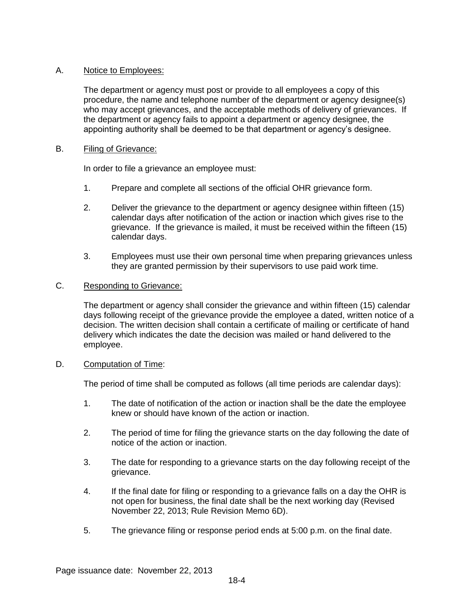## A. Notice to Employees:

The department or agency must post or provide to all employees a copy of this procedure, the name and telephone number of the department or agency designee(s) who may accept grievances, and the acceptable methods of delivery of grievances. If the department or agency fails to appoint a department or agency designee, the appointing authority shall be deemed to be that department or agency's designee.

### B. Filing of Grievance:

In order to file a grievance an employee must:

- 1. Prepare and complete all sections of the official OHR grievance form.
- 2. Deliver the grievance to the department or agency designee within fifteen (15) calendar days after notification of the action or inaction which gives rise to the grievance. If the grievance is mailed, it must be received within the fifteen (15) calendar days.
- 3. Employees must use their own personal time when preparing grievances unless they are granted permission by their supervisors to use paid work time.

# C. Responding to Grievance:

The department or agency shall consider the grievance and within fifteen (15) calendar days following receipt of the grievance provide the employee a dated, written notice of a decision. The written decision shall contain a certificate of mailing or certificate of hand delivery which indicates the date the decision was mailed or hand delivered to the employee.

### D. Computation of Time:

The period of time shall be computed as follows (all time periods are calendar days):

- 1. The date of notification of the action or inaction shall be the date the employee knew or should have known of the action or inaction.
- 2. The period of time for filing the grievance starts on the day following the date of notice of the action or inaction.
- 3. The date for responding to a grievance starts on the day following receipt of the grievance.
- 4. If the final date for filing or responding to a grievance falls on a day the OHR is not open for business, the final date shall be the next working day (Revised November 22, 2013; Rule Revision Memo 6D).
- 5. The grievance filing or response period ends at 5:00 p.m. on the final date.